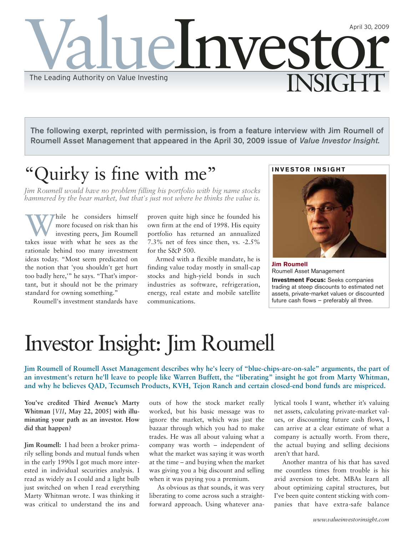

**The following exerpt, reprinted with permission, is from a feature interview with Jim Roumell of Roumell Asset Management that appeared in the April 30, 2009 issue of** *Value Investor Insight***.**

# Quirky is fine with me"

*Jim Roumell would have no problem filling his portfolio with big name stocks hammered by the bear market, but that's just not where he thinks the value is.*

While he considers himself<br>more focused on risk than his<br>takes issue with what he sees as the more focused on risk than his investing peers, Jim Roumell rationale behind too many investment ideas today. "Most seem predicated on the notion that 'you shouldn't get hurt too badly here,'" he says. "That's important, but it should not be the primary standard for owning something."

Roumell's investment standards have

proven quite high since he founded his own firm at the end of 1998. His equity portfolio has returned an annualized 7.3% net of fees since then, vs. -2.5% for the S&P 500.

Armed with a flexible mandate, he is finding value today mostly in small-cap stocks and high-yield bonds in such industries as software, refrigeration, energy, real estate and mobile satellite communications.

# **INVESTOR INSIGHT**



**Jim Roumell** Roumell Asset Management

**Investment Focus:** Seeks companies trading at steep discounts to estimated net assets, private-market values or discounted future cash flows – preferably all three.

# Investor Insight: Jim Roumell

**Jim Roumell of Roumell Asset Management describes why he's leery of "blue-chips-are-on-sale" arguments, the part of an investment's return he'll leave to people like Warren Buffett, the "liberating" insight he got from Marty Whitman, and why he believes QAD, Tecumseh Products, KVH, Tejon Ranch and certain closed-end bond funds are mispriced.**

**You've credited Third Avenue's Marty Whitman [***VII***, May 22, 2005] with illuminating your path as an investor. How did that happen?**

**Jim Roumell:** I had been a broker primarily selling bonds and mutual funds when in the early 1990s I got much more interested in individual securities analysis. I read as widely as I could and a light bulb just switched on when I read everything Marty Whitman wrote. I was thinking it was critical to understand the ins and outs of how the stock market really worked, but his basic message was to ignore the market, which was just the bazaar through which you had to make trades. He was all about valuing what a company was worth – independent of what the market was saying it was worth at the time – and buying when the market was giving you a big discount and selling when it was paying you a premium.

As obvious as that sounds, it was very liberating to come across such a straightforward approach. Using whatever analytical tools I want, whether it's valuing net assets, calculating private-market values, or discounting future cash flows, I can arrive at a clear estimate of what a company is actually worth. From there, the actual buying and selling decisions aren't that hard.

Another mantra of his that has saved me countless times from trouble is his avid aversion to debt. MBAs learn all about optimizing capital structures, but I've been quite content sticking with companies that have extra-safe balance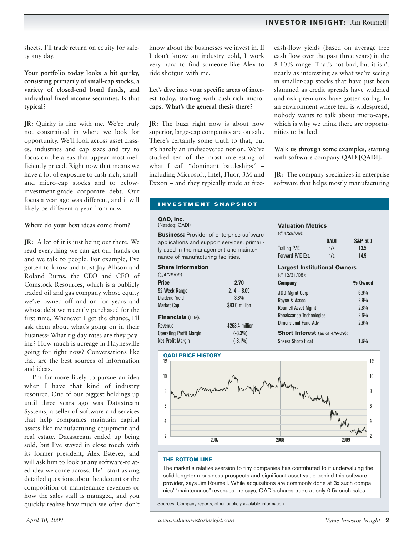# **INVESTOR INSIGHT:** Jim Roumell

sheets. I'll trade return on equity for safety any day.

**Your portfolio today looks a bit quirky, consisting primarily of small-cap stocks, a variety of closed-end bond funds, and individual fixed-income securities. Is that typical?**

**JR:** Quirky is fine with me. We're truly not constrained in where we look for opportunity. We'll look across asset classes, industries and cap sizes and try to focus on the areas that appear most inefficiently priced. Right now that means we have a lot of exposure to cash-rich, smalland micro-cap stocks and to belowinvestment-grade corporate debt. Our focus a year ago was different, and it will likely be different a year from now.

#### **Where do your best ideas come from?**

**JR:** A lot of it is just being out there. We read everything we can get our hands on and we talk to people. For example, I've gotten to know and trust Jay Allison and Roland Burns, the CEO and CFO of Comstock Resources, which is a publicly traded oil and gas company whose equity we've owned off and on for years and whose debt we recently purchased for the first time. Whenever I get the chance, I'll ask them about what's going on in their business: What rig day rates are they paying? How much is acreage in Haynesville going for right now? Conversations like that are the best sources of information and ideas.

I'm far more likely to pursue an idea when I have that kind of industry resource. One of our biggest holdings up until three years ago was Datastream Systems, a seller of software and services that help companies maintain capital assets like manufacturing equipment and real estate. Datastream ended up being sold, but I've stayed in close touch with its former president, Alex Estevez, and will ask him to look at any software-related idea we come across. He'll start asking detailed questions about headcount or the composition of maintenance revenues or how the sales staff is managed, and you quickly realize how much we often don't

know about the businesses we invest in. If I don't know an industry cold, I work very hard to find someone like Alex to ride shotgun with me.

# **Let's dive into your specific areas of interest today, starting with cash-rich microcaps. What's the general thesis there?**

**JR:** The buzz right now is about how superior, large-cap companies are on sale. There's certainly some truth to that, but it's hardly an undiscovered notion. We've studied ten of the most interesting of what I call "dominant battleships" – including Microsoft, Intel, Fluor, 3M and Exxon – and they typically trade at freecash-flow yields (based on average free cash flow over the past three years) in the 8-10% range. That's not bad, but it isn't nearly as interesting as what we're seeing in smaller-cap stocks that have just been slammed as credit spreads have widened and risk premiums have gotten so big. In an environment where fear is widespread, nobody wants to talk about micro-caps, which is why we think there are opportunities to be had.

# **Walk us through some examples, starting with software company QAD [QADI].**

**JR:** The company specializes in enterprise software that helps mostly manufacturing

#### **INVESTMENT SNAPSHOT**

#### **QAD, Inc.**

(Nasdaq: QADI)

**Business:** Provider of enterprise software applications and support services, primarily used in the management and maintenance of manufacturing facilities.

| 2.70            |
|-----------------|
| $2.14 - 8.09$   |
| 3.8%            |
| \$83.0 million  |
|                 |
| \$263.4 million |
| $(-3.3\%)$      |
| $(-8.1\%)$      |
|                 |

# **Valuation Metrics**

| QADI                                  | <b>S&amp;P 500</b> |
|---------------------------------------|--------------------|
| n/a                                   | 13.5               |
| n/a                                   | 14.9               |
| <b>Largest Institutional Owners</b>   |                    |
|                                       |                    |
|                                       | % Owned            |
|                                       | 6.9%               |
|                                       | 2.9%               |
|                                       | 2.8%               |
| Renaissance Technologies              | 2.6%               |
|                                       | 2.6%               |
| <b>Short Interest</b> (as of 4/9/09): |                    |
|                                       | 1.6%               |
|                                       |                    |



#### **THE BOTTOM LINE**

The market's relative aversion to tiny companies has contributed to it undervaluing the solid long-term business prospects and significant asset value behind this software provider, says Jim Roumell. While acquisitions are commonly done at 3x such companies' "maintenance" revenues, he says, QAD's shares trade at only 0.5x such sales.

Sources: Company reports, other publicly available information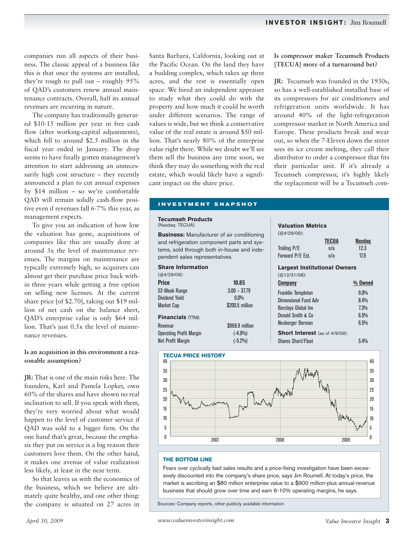companies run all aspects of their business. The classic appeal of a business like this is that once the systems are installed, they're tough to pull out – roughly 95% of QAD's customers renew annual maintenance contracts. Overall, half its annual revenues are recurring in nature.

The company has traditionally generated \$10-15 million per year in free cash flow (after working-capital adjustments), which fell to around \$2.5 million in the fiscal year ended in January. The drop seems to have finally gotten management's attention to start addressing an unnecessarily high cost structure – they recently announced a plan to cut annual expenses by \$14 million – so we're comfortable QAD will remain solidly cash-flow positive even if revenues fall 6-7% this year, as management expects.

To give you an indication of how low the valuation has gone, acquisitions of companies like this are usually done at around 3x the level of maintenance revenues. The margins on maintenance are typically extremely high, so acquirers can almost get their purchase price back within three years while getting a free option on selling new licenses. At the current share price [of \$2.70], taking out \$19 million of net cash on the balance sheet, QAD's enterprise value is only \$64 million. That's just 0.5x the level of maintenance revenues.

# **Is an acquisition in this environment a reasonable assumption?**

**JR:** That is one of the main risks here. The founders, Karl and Pamela Lopker, own 60% of the shares and have shown no real inclination to sell. If you speak with them, they're very worried about what would happen to the level of customer service if QAD was sold to a bigger firm. On the one hand that's great, because the emphasis they put on service is a big reason their customers love them. On the other hand, it makes one avenue of value realization less likely, at least in the near term.

So that leaves us with the economics of the business, which we believe are ultimately quite healthy, and one other thing: the company is situated on 27 acres in Santa Barbara, California, looking out at the Pacific Ocean. On the land they have a building complex, which takes up three acres, and the rest is essentially open space. We hired an independent appraiser to study what they could do with the property and how much it could be worth under different scenarios. The range of values is wide, but we think a conservative value of the real estate is around \$50 million. That's nearly 80% of the enterprise value right there. While we doubt we'll see them sell the business any time soon, we think they may do something with the real estate, which would likely have a significant impact on the share price.

### **Is compressor maker Tecumseh Products [TECUA] more of a turnaround bet?**

**JR:** Tecumseh was founded in the 1930s, so has a well-established installed base of its compressors for air conditioners and refrigeration units worldwide. It has around 40% of the light-refrigeration compressor market in North America and Europe. These products break and wear out, so when the 7-Eleven down the street sees its ice cream melting, they call their distributor to order a compressor that fits their particular unit. If it's already a Tecumseh compressor, it's highly likely the replacement will be a Tecumseh com-

#### **INVESTMENT SNAPSHOT**

#### **Tecumseh Products**

(Nasdaq: TECUA)

**Business:** Manufacturer of air conditioning and refrigeration component parts and systems, sold through both in-house and independent sales representatives.

| <b>Share Information</b>       |                 |
|--------------------------------|-----------------|
| $(Q4/29/09)$ :                 |                 |
| Price                          | 10.85           |
| 52-Week Range                  | $3.00 - 37.79$  |
| Dividend Yield                 | $0.0\%$         |
| Market Cap                     | \$200.5 million |
| Financials (TTM):              |                 |
| Revenue                        | \$968.9 million |
| <b>Operating Profit Margin</b> | $(-4.9%)$       |
| Net Profit Margin              | $(-5.2\%)$      |

# **Valuation Metrics**

| (@4/29/09):                           |              |           |
|---------------------------------------|--------------|-----------|
|                                       | <b>TECUA</b> | Nasdaq    |
| Trailing P/E                          | n/a          | 12.3      |
| Forward P/E Est.                      | n/a          | 17.9      |
| <b>Largest Institutional Owners</b>   |              |           |
| $(Q12/31/08)$ :                       |              |           |
| Company                               |              | $%$ Owned |
| Franklin Templeton                    |              | $9.0\%$   |
| Dimensional Fund Adv                  |              | 8.4%      |
| Barclays Global Inv                   |              | 7.3%      |
| Donald Smith & Co                     |              | 6,5%      |
| Neuberaer Berman                      |              | 6.5%      |
| <b>Short Interest</b> (as of 4/9/09): |              |           |
| Shares Short/Float                    |              | $5.4\%$   |
|                                       |              |           |



#### **THE BOTTOM LINE**

Fears over cyclically bad sales results and a price-fixing investigation have been excessively discounted into the company's share price, says Jim Roumell. At today's price, the market is ascribing an \$80 million enterprise value to a \$900 million-plus annual-revenue business that should grow over time and earn 6-10% operating margins, he says.

Sources: Company reports, other publicly available information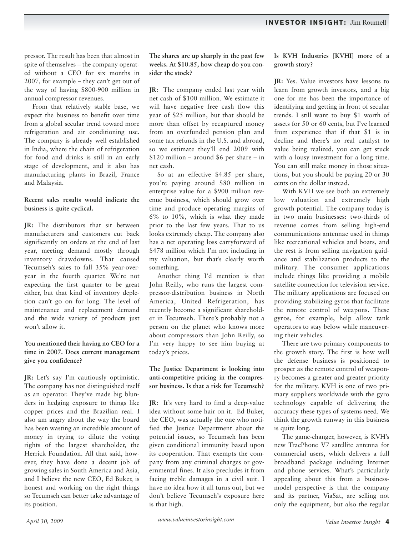pressor. The result has been that almost in spite of themselves – the company operated without a CEO for six months in 2007, for example – they can't get out of the way of having \$800-900 million in annual compressor revenues.

From that relatively stable base, we expect the business to benefit over time from a global secular trend toward more refrigeration and air conditioning use. The company is already well established in India, where the chain of refrigeration for food and drinks is still in an early stage of development, and it also has manufacturing plants in Brazil, France and Malaysia.

# **Recent sales results would indicate the business is quite cyclical.**

**JR:** The distributors that sit between manufacturers and customers cut back significantly on orders at the end of last year, meeting demand mostly through inventory drawdowns. That caused Tecumseh's sales to fall 35% year-overyear in the fourth quarter. We're not expecting the first quarter to be great either, but that kind of inventory depletion can't go on for long. The level of maintenance and replacement demand and the wide variety of products just won't allow it.

# **You mentioned their having no CEO for a time in 2007. Does current management give you confidence?**

**JR:** Let's say I'm cautiously optimistic. The company has not distinguished itself as an operator. They've made big blunders in hedging exposure to things like copper prices and the Brazilian real. I also am angry about the way the board has been wasting an incredible amount of money in trying to dilute the voting rights of the largest shareholder, the Herrick Foundation. All that said, however, they have done a decent job of growing sales in South America and Asia, and I believe the new CEO, Ed Buker, is honest and working on the right things so Tecumseh can better take advantage of its position.

**The shares are up sharply in the past few weeks. At \$10.85, how cheap do you consider the stock?**

**JR:** The company ended last year with net cash of \$100 million. We estimate it will have negative free cash flow this year of \$25 million, but that should be more than offset by recaptured money from an overfunded pension plan and some tax refunds in the U.S. and abroad, so we estimate they'll end 2009 with \$120 million – around \$6 per share – in net cash.

So at an effective \$4.85 per share, you're paying around \$80 million in enterprise value for a \$900 million revenue business, which should grow over time and produce operating margins of 6% to 10%, which is what they made prior to the last few years. That to us looks extremely cheap. The company also has a net operating loss carryforward of \$478 million which I'm not including in my valuation, but that's clearly worth something.

Another thing I'd mention is that John Reilly, who runs the largest compressor-distribution business in North America, United Refrigeration, has recently become a significant shareholder in Tecumseh. There's probably not a person on the planet who knows more about compressors than John Reilly, so I'm very happy to see him buying at today's prices.

**The Justice Department is looking into anti-competitive pricing in the compressor business. Is that a risk for Tecumseh?**

**JR:** It's very hard to find a deep-value idea without some hair on it. Ed Buker, the CEO, was actually the one who notified the Justice Department about the potential issues, so Tecumseh has been given conditional immunity based upon its cooperation. That exempts the company from any criminal charges or governmental fines. It also precludes it from facing treble damages in a civil suit. I have no idea how it all turns out, but we don't believe Tecumseh's exposure here is that high.

# **Is KVH Industries [KVHI] more of a growth story?**

**JR:** Yes. Value investors have lessons to learn from growth investors, and a big one for me has been the importance of identifying and getting in front of secular trends. I still want to buy \$1 worth of assets for 50 or 60 cents, but I've learned from experience that if that \$1 is in decline and there's no real catalyst to value being realized, you can get stuck with a lousy investment for a long time. You can still make money in those situations, but you should be paying 20 or 30 cents on the dollar instead.

With KVH we see both an extremely low valuation and extremely high growth potential. The company today is in two main businesses: two-thirds of revenue comes from selling high-end communications antennae used in things like recreational vehicles and boats, and the rest is from selling navigation guidance and stabilization products to the military. The consumer applications include things like providing a mobile satellite connection for television service. The military applications are focused on providing stabilizing gyros that facilitate the remote control of weapons. These gyros, for example, help allow tank operators to stay below while maneuvering their vehicles.

There are two primary components to the growth story. The first is how well the defense business is positioned to prosper as the remote control of weaponry becomes a greater and greater priority for the military. KVH is one of two primary suppliers worldwide with the gyro technology capable of delivering the accuracy these types of systems need. We think the growth runway in this business is quite long.

The game-changer, however, is KVH's new TracPhone V7 satellite antenna for commercial users, which delivers a full broadband package including Internet and phone services. What's particularly appealing about this from a businessmodel perspective is that the company and its partner, ViaSat, are selling not only the equipment, but also the regular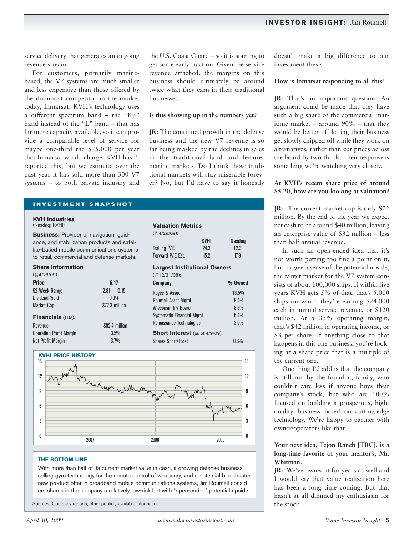service delivery that generates an ongoing revenue stream.

For customers, primarily marinebased, the V7 systems are much smaller and less expensive than those offered by the dominant competitor in the market today, Inmarsat. KVH's technology uses a different spectrum band – the "Ku" band instead of the "L" band – that has far more capacity available, so it can provide a comparable level of service for maybe one-third the \$75,000 per year that Inmarsat would charge. KVH hasn't reported this, but we estimate over the past year it has sold more than 300 V7 systems – to both private industry and the U.S. Coast Guard – so it is starting to get some early traction. Given the service revenue attached, the margins on this business should ultimately be around twice what they earn in their traditional businesses.

#### **Is this showing up in the numbers yet?**

**JR:** The continued growth in the defense business and the new V7 revenue is so far being masked by the declines in sales in the traditional land and leisuremarine markets. Do I think those traditional markets will stay miserable forever? No, but I'd have to say it honestly

**KVHI Nasdaq**

#### **INVESTMENT SNAPSHOT**

# **KVH Industries**

(Nasdaq: KVHI)

**Business:** Provider of navigation, guidance, and stabilization products and satellite-based mobile communications systems to retail, commercial and defense markets.

#### **Share Information**

 $(M129/09)$ 

| 15.212107.                     |                |
|--------------------------------|----------------|
| <b>Price</b>                   | 5.17           |
| 52-Week Range                  | $2.81 - 10.15$ |
| Dividend Yield                 | $0.0\%$        |
| <b>Market Cap</b>              | \$72.3 million |
| Financials (TTM):              |                |
| Revenue                        | \$82.4 million |
| <b>Operating Profit Margin</b> | 3.5%           |
| <b>Net Profit Margin</b>       | 3.7%           |



#### **THE BOTTOM LINE**

With more than half of its current market value in cash, a growing defense business selling gyro technology for the remote control of weaponry, and a potential blockbuster new product offer in broadband mobile communications systems, Jim Roumell considers shares in the company a relatively low-risk bet with "open-ended" potential upside.

Sources: Company reports, other publicly available information

Trailing P/E 24.3 12.3 Forward P/E Est. 15.2 17.9 **Largest Institutional Owners** (@12/31/08): **Company % Owned** Royce & Assoc 13.5% Roumell Asset Mamt 9.4% Wisconsin Inv Board 8.8% Systematic Financial Mgmt 6.4% Renaissance Technologies 3.6% **Short Interest** (as of 4/9/09): Shares Short/Float 0.6%

**Valuation Metrics**

(@4/29/09):

doesn't make a big difference to our investment thesis.

#### **How is Inmarsat responding to all this?**

**JR:** That's an important question. An argument could be made that they have such a big share of the commercial maritime market – around 90% – that they would be better off letting their business get slowly chipped off while they work on alternatives, rather than cut prices across the board by two-thirds. Their response is something we're watching very closely.

#### **At KVH's recent share price of around \$5.20, how are you looking at valuation?**

**JR:** The current market cap is only \$72 million. By the end of the year we expect net cash to be around \$40 million, leaving an enterprise value of \$32 million – less than half annual revenue.

In such an open-ended idea that it's not worth putting too fine a point on it, but to give a sense of the potential upside, the target market for the V7 system consists of about 100,000 ships. If within five years KVH gets 5% of that, that's 5,000 ships on which they're earning \$24,000 each in annual service revenue, or \$120 million. At a 35% operating margin, that's \$42 million in operating income, or \$3 per share. If anything close to that happens in this one business, you're looking at a share price that is a multiple of the current one.

One thing I'd add is that the company is still run by the founding family, who couldn't care less if anyone buys their company's stock, but who are 100% focused on building a prosperous, highquality business based on cutting-edge technology. We're happy to partner with owner/operators like that.

# **Your next idea, Tejon Ranch [TRC], is a long-time favorite of your mentor's, Mr. Whitman.**

**JR:** We've owned it for years as well and I would say that value realization here has been a long time coming. But that hasn't at all dimmed my enthusiasm for the stock.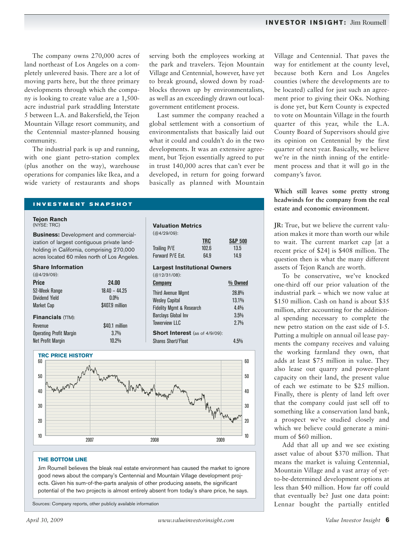The company owns 270,000 acres of land northeast of Los Angeles on a completely unlevered basis. There are a lot of moving parts here, but the three primary developments through which the company is looking to create value are a 1,500 acre industrial park straddling Interstate 5 between L.A. and Bakersfield, the Tejon Mountain Village resort community, and the Centennial master-planned housing community.

The industrial park is up and running, with one giant petro-station complex (plus another on the way), warehouse operations for companies like Ikea, and a wide variety of restaurants and shops serving both the employees working at the park and travelers. Tejon Mountain Village and Centennial, however, have yet to break ground, slowed down by roadblocks thrown up by environmentalists, as well as an exceedingly drawn out localgovernment entitlement process.

Last summer the company reached a global settlement with a consortium of environmentalists that basically laid out what it could and couldn't do in the two developments. It was an extensive agreement, but Tejon essentially agreed to put in trust 140,000 acres that can't ever be developed, in return for going forward basically as planned with Mountain

#### **INVESTMENT SNAPSHOT**

#### **Tejon Ranch**

(NYSE: TRC)

**Business:** Development and commercial ization of largest contiguous private land holding in California, comprising 270,00 acres located 60 miles north of Los Angel

#### **Share Information**

 $(M129/09)$ 

| <b>Price</b>                   | 24.00           |
|--------------------------------|-----------------|
| 52-Week Range                  | $18.40 - 44.25$ |
| <b>Dividend Yield</b>          | $0.0\%$         |
| <b>Market Cap</b>              | \$407.9 million |
| <b>Financials (TTM):</b>       |                 |
| Revenue                        | \$40.1 million  |
| <b>Operating Profit Margin</b> | 3.7%            |
| <b>Net Profit Margin</b>       | $10.2\%$        |

| al-            | $(Q4/29/09)$ :                        |       |                    |
|----------------|---------------------------------------|-------|--------------------|
| -Ł             |                                       | TRC   | <b>S&amp;P 500</b> |
| $\overline{0}$ | Trailing P/E                          | 102.6 | 13.5               |
| eles.          | Forward P/E Est.                      | 64.9  | 14.9               |
|                | <b>Largest Institutional Owners</b>   |       |                    |
|                | $(Q12/31/08)$ :                       |       |                    |
|                | <b>Company</b>                        |       | $%$ Owned          |
|                | <b>Third Avenue Mgmt</b>              |       | 28.8%              |
|                | <b>Wesley Capital</b>                 |       | 13.1%              |
|                | <b>Fidelity Mgmt &amp; Research</b>   |       | 4.4%               |
|                | <b>Barclays Global Inv</b>            |       | 3.5%               |
|                | <b>Towerview LLC</b>                  |       | 2.7%               |
|                | <b>Short Interest</b> (as of 4/9/09): |       |                    |
|                | <b>Shares Short/Float</b>             |       | 4.5%               |

**Valuation Metrics**



#### **THE BOTTOM LINE**

Jim Roumell believes the bleak real estate environment has caused the market to ignore good news about the company's Centennial and Mountain Village development projects. Given his sum-of-the-parts analysis of other producing assets, the significant potential of the two projects is almost entirely absent from today's share price, he says.

Sources: Company reports, other publicly available information

Village and Centennial. That paves the way for entitlement at the county level, because both Kern and Los Angeles counties (where the developments are to be located) called for just such an agreement prior to giving their OKs. Nothing is done yet, but Kern County is expected to vote on Mountain Village in the fourth quarter of this year, while the L.A. County Board of Supervisors should give its opinion on Centennial by the first quarter of next year. Basically, we believe we're in the ninth inning of the entitlement process and that it will go in the company's favor.

**Which still leaves some pretty strong headwinds for the company from the real estate and economic environment.**

**JR:** True, but we believe the current valuation makes it more than worth our while to wait. The current market cap [at a recent price of \$24] is \$408 million. The question then is what the many different assets of Tejon Ranch are worth.

To be conservative, we've knocked one-third off our prior valuation of the industrial park – which we now value at \$150 million. Cash on hand is about \$35 million, after accounting for the additional spending necessary to complete the new petro station on the east side of I-5. Putting a multiple on annual oil lease payments the company receives and valuing the working farmland they own, that adds at least \$75 million in value. They also lease out quarry and power-plant capacity on their land, the present value of each we estimate to be \$25 million. Finally, there is plenty of land left over that the company could just sell off to something like a conservation land bank, a prospect we've studied closely and which we believe could generate a minimum of \$60 million.

Add that all up and we see existing asset value of about \$370 million. That means the market is valuing Centennial, Mountain Village and a vast array of yetto-be-determined development options at less than \$40 million. How far off could that eventually be? Just one data point: Lennar bought the partially entitled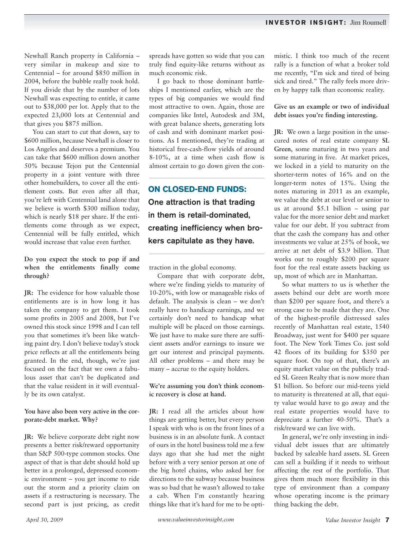Newhall Ranch property in California – very similar in makeup and size to Centennial – for around \$850 million in 2004, before the bubble really took hold. If you divide that by the number of lots Newhall was expecting to entitle, it came out to \$38,000 per lot. Apply that to the expected 23,000 lots at Centennial and that gives you \$875 million.

You can start to cut that down, say to \$600 million, because Newhall is closer to Los Angeles and deserves a premium. You can take that \$600 million down another 50% because Tejon put the Centennial property in a joint venture with three other homebuilders, to cover all the entitlement costs. But even after all that, you're left with Centennial land alone that we believe is worth \$300 million today, which is nearly \$18 per share. If the entitlements come through as we expect, Centennial will be fully entitled, which would increase that value even further.

**Do you expect the stock to pop if and when the entitlements finally come through?**

**JR:** The evidence for how valuable those entitlements are is in how long it has taken the company to get them. I took some profits in 2005 and 2008, but I've owned this stock since 1998 and I can tell you that sometimes it's been like watching paint dry. I don't believe today's stock price reflects at all the entitlements being granted. In the end, though, we're just focused on the fact that we own a fabulous asset that can't be duplicated and that the value resident in it will eventually be its own catalyst.

#### **You have also been very active in the corporate-debt market. Why?**

**JR:** We believe corporate debt right now presents a better risk/reward opportunity than S&P 500-type common stocks. One aspect of that is that debt should hold up better in a prolonged, depressed economic environment – you get income to ride out the storm and a priority claim on assets if a restructuring is necessary. The second part is just pricing, as credit spreads have gotten so wide that you can truly find equity-like returns without as much economic risk.

I go back to those dominant battleships I mentioned earlier, which are the types of big companies we would find most attractive to own. Again, those are companies like Intel, Autodesk and 3M, with great balance sheets, generating lots of cash and with dominant market positions. As I mentioned, they're trading at historical free-cash-flow yields of around 8-10%, at a time when cash flow is almost certain to go down given the con-

**ON CLOSED-END FUNDS:** One attraction is that trading in them is retail-dominated, creating inefficiency when brokers capitulate as they have.

traction in the global economy.

Compare that with corporate debt, where we're finding yields to maturity of 10-20%, with low or manageable risks of default. The analysis is clean – we don't really have to handicap earnings, and we certainly don't need to handicap what multiple will be placed on those earnings. We just have to make sure there are sufficient assets and/or earnings to insure we get our interest and principal payments. All other problems – and there may be many – accrue to the equity holders.

# **We're assuming you don't think economic recovery is close at hand.**

**JR:** I read all the articles about how things are getting better, but every person I speak with who is on the front lines of a business is in an absolute funk. A contact of ours in the hotel business told me a few days ago that she had met the night before with a very senior person at one of the big hotel chains, who asked her for directions to the subway because business was so bad that he wasn't allowed to take a cab. When I'm constantly hearing things like that it's hard for me to be optimistic. I think too much of the recent rally is a function of what a broker told me recently, "I'm sick and tired of being sick and tired." The rally feels more driven by happy talk than economic reality.

# **Give us an example or two of individual debt issues you're finding interesting.**

**JR:** We own a large position in the unsecured notes of real estate company **SL Green**, some maturing in two years and some maturing in five. At market prices, we locked in a yield to maturity on the shorter-term notes of 16% and on the longer-term notes of 15%. Using the notes maturing in 2011 as an example, we value the debt at our level or senior to us at around \$5.1 billion – using par value for the more senior debt and market value for our debt. If you subtract from that the cash the company has and other investments we value at 25% of book, we arrive at net debt of \$3.9 billion. That works out to roughly \$200 per square foot for the real estate assets backing us up, most of which are in Manhattan.

So what matters to us is whether the assets behind our debt are worth more than \$200 per square foot, and there's a strong case to be made that they are. One of the highest-profile distressed sales recently of Manhattan real estate, 1540 Broadway, just went for \$400 per square foot. The New York Times Co. just sold 42 floors of its building for \$350 per square foot. On top of that, there's an equity market value on the publicly traded SL Green Realty that is now more than \$1 billion. So before our mid-teens yield to maturity is threatened at all, that equity value would have to go away and the real estate properties would have to depreciate a further 40-50%. That's a risk/reward we can live with.

In general, we're only investing in individual debt issues that are ultimately backed by saleable hard assets. SL Green can sell a building if it needs to without affecting the rest of the portfolio. That gives them much more flexibility in this type of environment than a company whose operating income is the primary thing backing the debt.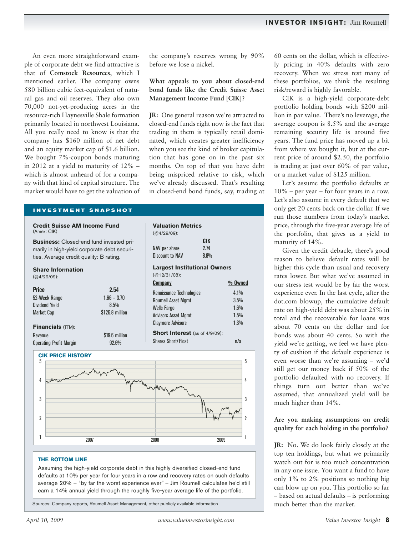An even more straightforward example of corporate debt we find attractive is that of **Comstock Resources**, which I mentioned earlier. The company owns 580 billion cubic feet-equivalent of natural gas and oil reserves. They also own 70,000 not-yet-producing acres in the resource-rich Haynesville Shale formation primarily located in northwest Louisiana. All you really need to know is that the company has \$160 million of net debt and an equity market cap of \$1.6 billion. We bought 7%-coupon bonds maturing in 2012 at a yield to maturity of 12% – which is almost unheard of for a company with that kind of capital structure. The market would have to get the valuation of

#### **INVESTMENT SNAPSHOT**

| CIK<br>2.74<br>NAV per share<br><b>Discount to NAV</b><br>8.8%<br><b>Largest Institutional Owners</b><br>$(Q12/31/08)$ :<br>% Owned<br><b>Company</b><br>Renaissance Technologies<br>4.1%<br>3.5%<br><b>Roumell Asset Mgmt</b><br>1.6%<br><b>Wells Fargo</b> |
|--------------------------------------------------------------------------------------------------------------------------------------------------------------------------------------------------------------------------------------------------------------|
|                                                                                                                                                                                                                                                              |
|                                                                                                                                                                                                                                                              |
|                                                                                                                                                                                                                                                              |
|                                                                                                                                                                                                                                                              |
| <b>Advisors Asset Mgmt</b><br>1.5%<br><b>Claymore Advisors</b><br>1.3%                                                                                                                                                                                       |
| <b>Short Interest</b> (as of 4/9/09):                                                                                                                                                                                                                        |
| <b>Shares Short/Float</b><br>n/a                                                                                                                                                                                                                             |
|                                                                                                                                                                                                                                                              |

# **THE BOTTOM LINE**

Assuming the high-yield corporate debt in this highly diversified closed-end fund defaults at 10% per year for four years in a row and recovery rates on such defaults average 20% – "by far the worst experience ever" – Jim Roumell calculates he'd still earn a 14% annual yield through the roughly five-year average life of the portfolio.

Sources: Company reports, Roumell Asset Management, other publicly available information

<sup>1</sup> 2007 2008 2009

60 cents on the dollar, which is effectively pricing in 40% defaults with zero recovery. When we stress test many of these portfolios, we think the resulting risk/reward is highly favorable.

CIK is a high-yield corporate-debt portfolio holding bonds with \$200 million in par value. There's no leverage, the average coupon is 8.5% and the average remaining security life is around five years. The fund price has moved up a bit from where we bought it, but at the current price of around \$2.50, the portfolio is trading at just over 60% of par value, or a market value of \$125 million.

Let's assume the portfolio defaults at 10% – per year – for four years in a row. Let's also assume in every default that we only get 20 cents back on the dollar. If we run those numbers from today's market price, through the five-year average life of the portfolio, that gives us a yield to maturity of 14%.

Given the credit debacle, there's good reason to believe default rates will be higher this cycle than usual and recovery rates lower. But what we've assumed in our stress test would be by far the worst experience ever. In the last cycle, after the dot.com blowup, the cumulative default rate on high-yield debt was about 25% in total and the recoverable for loans was about 70 cents on the dollar and for bonds was about 40 cents. So with the yield we're getting, we feel we have plenty of cushion if the default experience is even worse than we're assuming – we'd still get our money back if 50% of the portfolio defaulted with no recovery. If things turn out better than we've assumed, that annualized yield will be much higher than 14%.

# **Are you making assumptions on credit quality for each holding in the portfolio?**

**JR:** No. We do look fairly closely at the top ten holdings, but what we primarily watch out for is too much concentration in any one issue. You want a fund to have only 1% to 2% positions so nothing big can blow up on you. This portfolio so far – based on actual defaults – is performing much better than the market.

2

2

1

the company's reserves wrong by 90%

**What appeals to you about closed-end bond funds like the Credit Suisse Asset Management Income Fund [CIK]?**

**JR:** One general reason we're attracted to closed-end funds right now is the fact that trading in them is typically retail dominated, which creates greater inefficiency when you see the kind of broker capitulation that has gone on in the past six months. On top of that you have debt being mispriced relative to risk, which we've already discussed. That's resulting in closed-end bond funds, say, trading at

before we lose a nickel.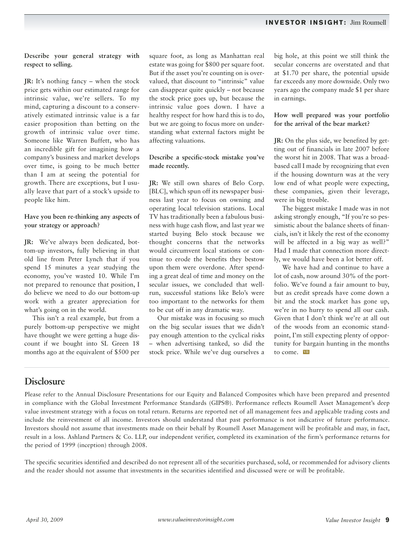**Describe your general strategy with respect to selling.**

**JR:** It's nothing fancy – when the stock price gets within our estimated range for intrinsic value, we're sellers. To my mind, capturing a discount to a conservatively estimated intrinsic value is a far easier proposition than betting on the growth of intrinsic value over time. Someone like Warren Buffett, who has an incredible gift for imagining how a company's business and market develops over time, is going to be much better than I am at seeing the potential for growth. There are exceptions, but I usually leave that part of a stock's upside to people like him.

# **Have you been re-thinking any aspects of your strategy or approach?**

**JR:** We've always been dedicated, bottom-up investors, fully believing in that old line from Peter Lynch that if you spend 15 minutes a year studying the economy, you've wasted 10. While I'm not prepared to renounce that position, I do believe we need to do our bottom-up work with a greater appreciation for what's going on in the world.

This isn't a real example, but from a purely bottom-up perspective we might have thought we were getting a huge discount if we bought into SL Green 18 months ago at the equivalent of \$500 per square foot, as long as Manhattan real estate was going for \$800 per square foot. But if the asset you're counting on is overvalued, that discount to "intrinsic" value can disappear quite quickly – not because the stock price goes up, but because the intrinsic value goes down. I have a healthy respect for how hard this is to do, but we are going to focus more on understanding what external factors might be affecting valuations.

# **Describe a specific-stock mistake you've made recently.**

**JR:** We still own shares of Belo Corp. [BLC], which spun off its newspaper business last year to focus on owning and operating local television stations. Local TV has traditionally been a fabulous business with huge cash flow, and last year we started buying Belo stock because we thought concerns that the networks would circumvent local stations or continue to erode the benefits they bestow upon them were overdone. After spending a great deal of time and money on the secular issues, we concluded that wellrun, successful stations like Belo's were too important to the networks for them to be cut off in any dramatic way.

Our mistake was in focusing so much on the big secular issues that we didn't pay enough attention to the cyclical risks – when advertising tanked, so did the stock price. While we've dug ourselves a

big hole, at this point we still think the secular concerns are overstated and that at \$1.70 per share, the potential upside far exceeds any more downside. Only two years ago the company made \$1 per share in earnings.

# **How well prepared was your portfolio for the arrival of the bear market?**

**JR:** On the plus side, we benefited by getting out of financials in late 2007 before the worst hit in 2008. That was a broadbased call I made by recognizing that even if the housing downturn was at the very low end of what people were expecting, these companies, given their leverage, were in big trouble.

The biggest mistake I made was in not asking strongly enough, "If you're so pessimistic about the balance sheets of financials, isn't it likely the rest of the economy will be affected in a big way as well?" Had I made that connection more directly, we would have been a lot better off.

We have had and continue to have a lot of cash, now around 30% of the portfolio. We've found a fair amount to buy, but as credit spreads have come down a bit and the stock market has gone up, we're in no hurry to spend all our cash. Given that I don't think we're at all out of the woods from an economic standpoint, I'm still expecting plenty of opportunity for bargain hunting in the months to come. **VII**

# **Disclosure**

Please refer to the Annual Disclosure Presentations for our Equity and Balanced Composites which have been prepared and presented in compliance with the Global Investment Performance Standards (GIPS®). Performance reflects Roumell Asset Management's deep value investment strategy with a focus on total return. Returns are reported net of all management fees and applicable trading costs and include the reinvestment of all income. Investors should understand that past performance is not indicative of future performance. Investors should not assume that investments made on their behalf by Roumell Asset Management will be profitable and may, in fact, result in a loss. Ashland Partners & Co. LLP, our independent verifier, completed its examination of the firm's performance returns for the period of 1999 (inception) through 2008.

The specific securities identified and described do not represent all of the securities purchased, sold, or recommended for advisory clients and the reader should not assume that investments in the securities identified and discussed were or will be profitable.